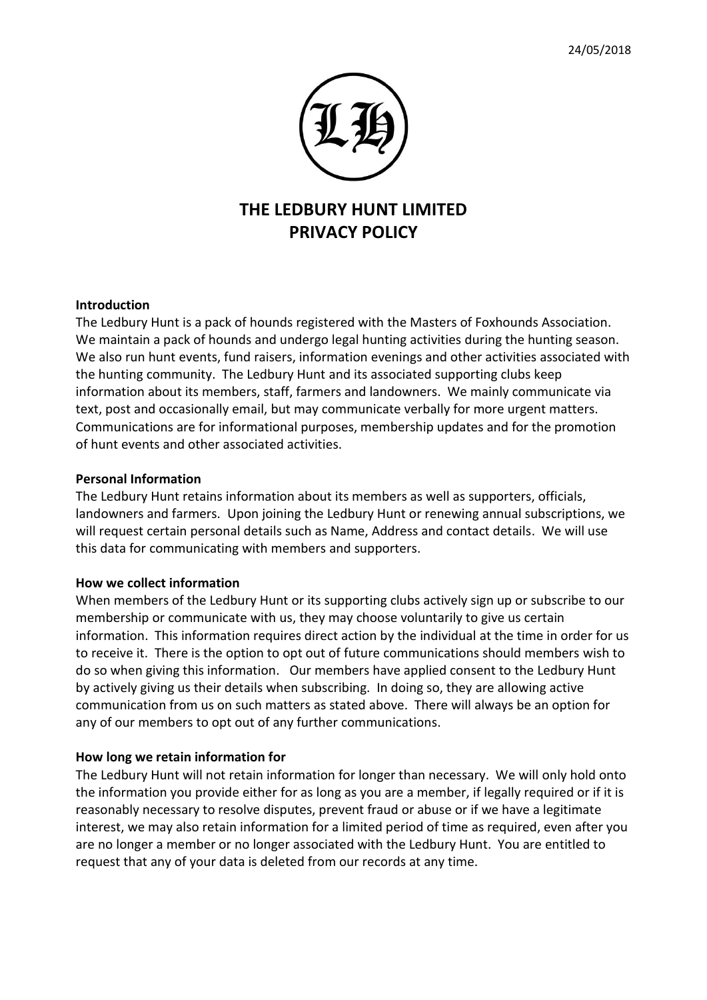

# **THE LEDBURY HUNT LIMITED PRIVACY POLICY**

### **Introduction**

The Ledbury Hunt is a pack of hounds registered with the Masters of Foxhounds Association. We maintain a pack of hounds and undergo legal hunting activities during the hunting season. We also run hunt events, fund raisers, information evenings and other activities associated with the hunting community. The Ledbury Hunt and its associated supporting clubs keep information about its members, staff, farmers and landowners. We mainly communicate via text, post and occasionally email, but may communicate verbally for more urgent matters. Communications are for informational purposes, membership updates and for the promotion of hunt events and other associated activities.

#### **Personal Information**

The Ledbury Hunt retains information about its members as well as supporters, officials, landowners and farmers. Upon joining the Ledbury Hunt or renewing annual subscriptions, we will request certain personal details such as Name, Address and contact details. We will use this data for communicating with members and supporters.

#### **How we collect information**

When members of the Ledbury Hunt or its supporting clubs actively sign up or subscribe to our membership or communicate with us, they may choose voluntarily to give us certain information. This information requires direct action by the individual at the time in order for us to receive it. There is the option to opt out of future communications should members wish to do so when giving this information. Our members have applied consent to the Ledbury Hunt by actively giving us their details when subscribing. In doing so, they are allowing active communication from us on such matters as stated above. There will always be an option for any of our members to opt out of any further communications.

#### **How long we retain information for**

The Ledbury Hunt will not retain information for longer than necessary. We will only hold onto the information you provide either for as long as you are a member, if legally required or if it is reasonably necessary to resolve disputes, prevent fraud or abuse or if we have a legitimate interest, we may also retain information for a limited period of time as required, even after you are no longer a member or no longer associated with the Ledbury Hunt. You are entitled to request that any of your data is deleted from our records at any time.